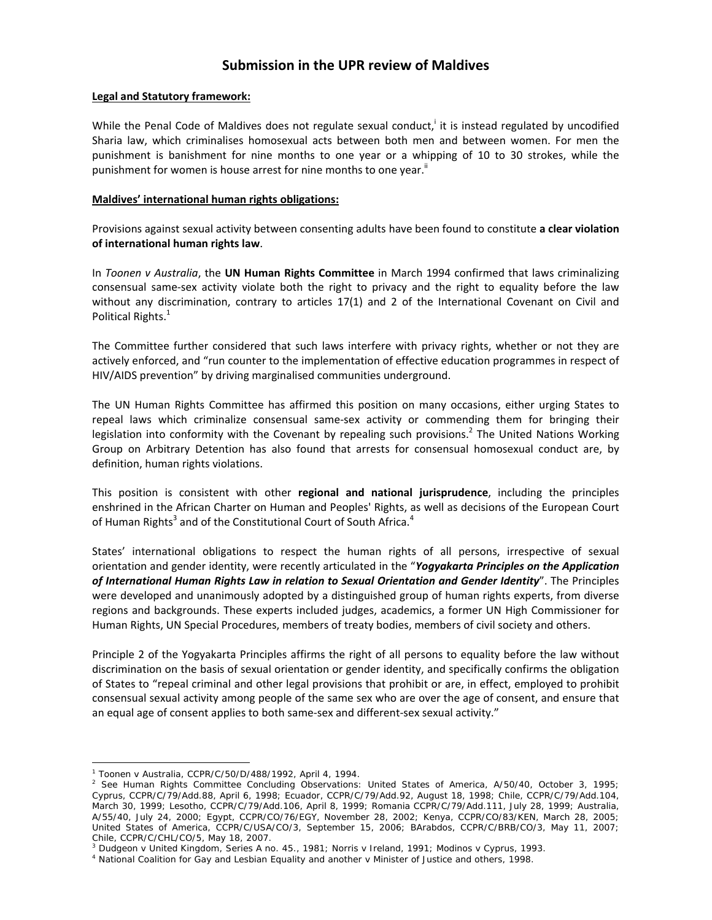# **Submission in the UPR review of Maldives**

## **Legal and Statutory framework:**

While the Penal Code of Maldives does not regulate sexual conduct, it is instead regulated by uncodified Sharia law, which criminalises homosexual acts between both men and between women. For men the punishment is banishment for nine months to one year or a whipping of 10 to 30 strokes, while the punishment for women is house arrest for nine months to one year.<sup>ii</sup>

#### **Maldives' international human rights obligations:**

Provisions against sexual activity between consenting adults have been found to constitute **a clear violation of international human rights law**.

In *Toonen v Australia*, the **UN Human Rights Committee** in March 1994 confirmed that laws criminalizing consensual same‐sex activity violate both the right to privacy and the right to equality before the law without any discrimination, contrary to articles 17(1) and 2 of the International Covenant on Civil and Political Rights.<sup>1</sup>

The Committee further considered that such laws interfere with privacy rights, whether or not they are actively enforced, and "run counter to the implementation of effective education programmes in respect of HIV/AIDS prevention" by driving marginalised communities underground.

The UN Human Rights Committee has affirmed this position on many occasions, either urging States to repeal laws which criminalize consensual same‐sex activity or commending them for bringing their legislation into conformity with the Covenant by repealing such provisions.<sup>2</sup> The United Nations Working Group on Arbitrary Detention has also found that arrests for consensual homosexual conduct are, by definition, human rights violations.

This position is consistent with other **regional and national jurisprudence**, including the principles enshrined in the African Charter on Human and Peoples' Rights, as well as decisions of the European Court of Human Rights<sup>3</sup> and of the Constitutional Court of South Africa.<sup>4</sup>

States' international obligations to respect the human rights of all persons, irrespective of sexual orientation and gender identity, were recently articulated in the "*Yogyakarta Principles on the Application of International Human Rights Law in relation to Sexual Orientation and Gender Identity*". The Principles were developed and unanimously adopted by a distinguished group of human rights experts, from diverse regions and backgrounds. These experts included judges, academics, a former UN High Commissioner for Human Rights, UN Special Procedures, members of treaty bodies, members of civil society and others.

Principle 2 of the Yogyakarta Principles affirms the right of all persons to equality before the law without discrimination on the basis of sexual orientation or gender identity, and specifically confirms the obligation of States to "repeal criminal and other legal provisions that prohibit or are, in effect, employed to prohibit consensual sexual activity among people of the same sex who are over the age of consent, and ensure that an equal age of consent applies to both same‐sex and different‐sex sexual activity."

 $\overline{a}$ 

<sup>1</sup> *Toonen* v *Australia*, CCPR/C/50/D/488/1992, April 4, 1994. 2

 $^2$  See Human Rights Committee Concluding Observations: United States of America, A/50/40, October 3, 1995; Cyprus, CCPR/C/79/Add.88, April 6, 1998; Ecuador, CCPR/C/79/Add.92, August 18, 1998; Chile, CCPR/C/79/Add.104, March 30, 1999; Lesotho, CCPR/C/79/Add.106, April 8, 1999; Romania CCPR/C/79/Add.111, July 28, 1999; Australia, A/55/40, July 24, 2000; Egypt, CCPR/CO/76/EGY, November 28, 2002; Kenya, CCPR/CO/83/KEN, March 28, 2005; United States of America, CCPR/C/USA/CO/3, September 15, 2006; BArabdos, CCPR/C/BRB/CO/3, May 11, 2007; Chile, CCPR/C/CHL/CO/5, May 18, 2007.

<sup>&</sup>lt;sup>3</sup> Dudgeon v United Kingdom, Series A no. 45., 1981; Norris v Ireland, 1991; Modinos v Cyprus, 1993.<br><sup>4</sup> National Coalition for Gay and Lesbian Equality and another v Minister of Justice and others, 1998.